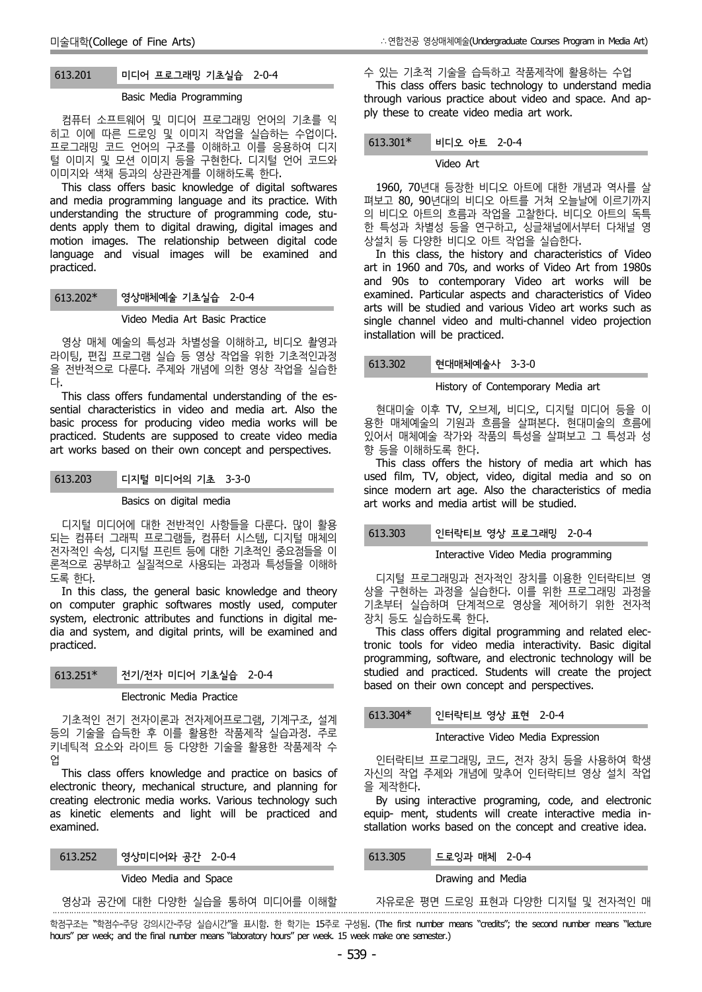# 613.201 미디어 프로그래밍 기초실습 2-0-4

#### Basic Media Programming

컴퓨터 소프트웨어 및 미디어 프로그래밍 언어의 기초를 익 히고 이에 따른 드로잉 및 이미지 작업을 실습하는 수업이다. 프로그래밍 코드 언어의 구조를 이해하고 이를 응용하여 디지 털 이미지 및 모션 이미지 등을 구현한다. 디지털 언어 코드와 이미지와 색채 등과의 상관관계를 이해하도록 한다.

This class offers basic knowledge of digital softwares and media programming language and its practice. With understanding the structure of programming code, stu dents apply them to digital drawing, digital images and motion images. The relationship between digital code language and visual images will be examined and practiced.

# 613.202\* 영상매체예술 기초실습 2-0-4

#### Video Media Art Basic Practice

영상 매체 예술의 특성과 차별성을 이해하고, 비디오 촬영과 라이팅, 편집 프로그램 실습 등 영상 작업을 위한 기초적인과정 을 전반적으로 다룬다. 주제와 개념에 의한 영상 작업을 실습한

<sup>다</sup>. This class offers fundamental understanding of the es sential characteristics in video and media art. Also the basic process for producing video media works will be practiced. Students are supposed to create video media art works based on their own concept and perspectives.

### 613.203 디지털 미디어의 기초 3-3-0

#### Basics on digital media

디지털 미디어에 대한 전반적인 사항들을 다룬다. 많이 활용 되는 컴퓨터 그래픽 프로그램들, 컴퓨터 시스템, 디지털 매체의 전자적인 속성, 디지털 프린트 등에 대한 기초적인 중요점들을 이 론적으로 공부하고 실질적으로 사용되는 과정과 특성들을 이해하

도록 한다.<br>In this class, the general basic knowledge and theory on computer graphic softwares mostly used, computer system, electronic attributes and functions in digital me dia and system, and digital prints, will be examined and practiced.

### 613.251\* 전기/전자 미디어 기초실습 2-0-4

#### Electronic Media Practice

기초적인 전기 전자이론과 전자제어프로그램, 기계구조, 설계 등의 기술을 습득한 후 이를 활용한 작품제작 실습과정. 주로 키네틱적 요소와 라이트 등 다양한 기술을 활용한 작품제작 수 업

This class offers knowledge and practice on basics of electronic theory, mechanical structure, and planning for creating electronic media works. Various technology such as kinetic elements and light will be practiced and examined.

| 영상미디어와 공간 2-0-4<br>613.252 |  |
|----------------------------|--|
|----------------------------|--|

·

#### Video Media and Space

#### 영상과 공간에 대한 다양한 실습을 통하여 미디어를 이해할

This class offers basic technology to understand media through various practice about video and space. And ap ply these to create video media art work.

수 있는 기초적 기술을 습득하고 작품제작에 활용하는 수업

### 비디오 아트 2-0-4

#### Video Art

1960, 70년대 등장한 비디오 아트에 대한 개념과 역사를 살 펴보고 80, 90년대의 비디오 아트를 거쳐 오늘날에 이르기까지 의 비디오 아트의 흐름과 작업을 고찰한다. 비디오 아트의 독특 한 특성과 차별성 등을 연구하고, 싱글채널에서부터 다채널 영

In this class, the history and characteristics of Video art in 1960 and 70s, and works of Video Art from 1980s and 90s to contemporary Video art works will be examined. Particular aspects and characteristics of Video arts will be studied and various Video art works such as single channel video and multi-channel video projection installation will be practiced.

# 613.302 현대매체예술사 3-3-0

#### History of Contemporary Media art

현대미술 이후 TV, 오브제, 비디오, 디지털 미디어 등을 이 용한 매체예술의 기원과 흐름을 살펴본다. 현대미술의 흐름에 있어서 매체예술 작가와 작품의 특성을 살펴보고 그 특성과 성 향 등을 이해하도록 한다.<br>- This class offers the history of media art which has

used film, TV, object, video, digital media and so on since modern art age. Also the characteristics of media art works and media artist will be studied.

# 613.303 인터락티브 영상 프로그래밍 2-0-4

#### Interactive Video Media programming

디지털 프로그래밍과 전자적인 장치를 이용한 인터락티브 영 상을 구현하는 과정을 실습한다. 이를 위한 프로그래밍 과정을 기초부터 실습하며 단계적으로 영상을 제어하기 위한 전자적

This class offers digital programming and related electronic tools for video media interactivity. Basic digital programming, software, and electronic technology will be studied and practiced. Students will create the project based on their own concept and perspectives.

613.304\* 인터락티브 영상 표현 2-0-4

#### Interactive Video Media Expression

인터락티브 프로그래밍, 코드, 전자 장치 등을 사용하여 학생 자신의 작업 주제와 개념에 맞추어 인터락티브 영상 설치 작업 을 제작한다.

By using interactive programing, code, and electronic equip- ment, students will create interactive media in stallation works based on the concept and creative idea.

613.305 드로잉과 매체 2-0-4

Drawing and Media

자유로운 평면 드로잉 표현과 다양한 디지털 및 전자적인 매

학점구조는 "학점수-주당 강의시간-주당 실습시간"을 표시함. 한 학기는 15주로 구성됨. (The first number means "credits"; the second number means "lecture hours" per week; and the final number means "laboratory hours" per week. 15 week make one semester.)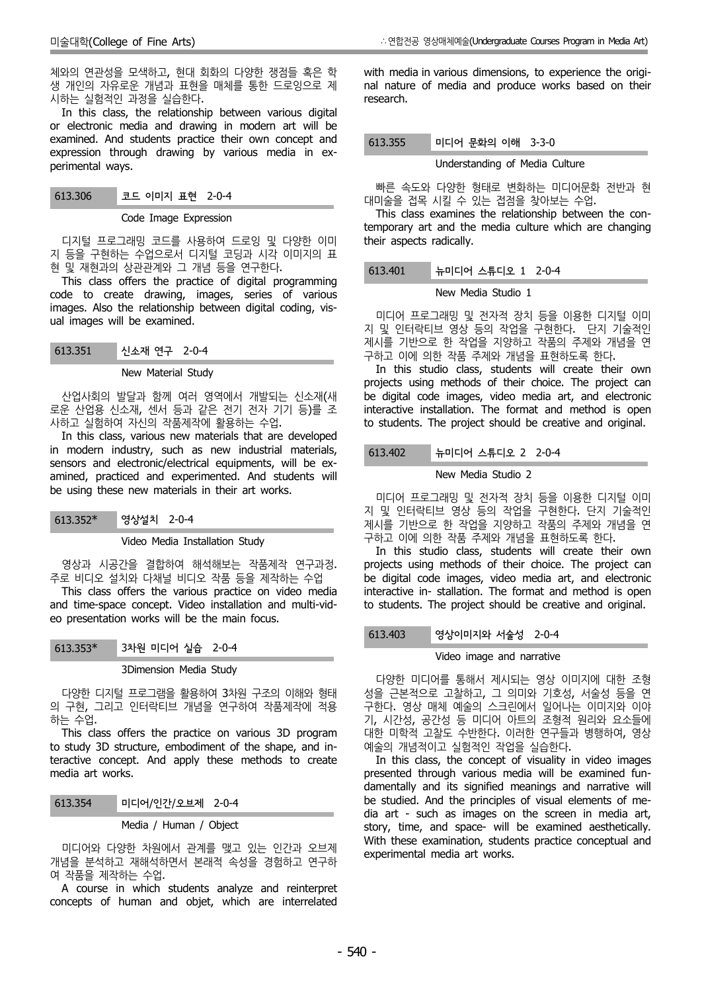체와의 연관성을 모색하고, 현대 회화의 다양한 쟁점들 혹은 학 생 개인의 자유로운 개념과 표현을 매체를 통한 드로잉으로 제

시하는 실험적인 과정을 실습한다. In this class, the relationship between various digital or electronic media and drawing in modern art will be examined. And students practice their own concept and expression through drawing by various media in ex perimental ways.

### Code Image Expression

디지털 프로그래밍 코드를 사용하여 드로잉 및 다양한 이미 지 등을 구현하는 수업으로서 디지털 코딩과 시각 이미지의 표

현 및 재현과의 상관관계와 그 개념 등을 연구한다. This class offers the practice of digital programming code to create drawing, images, series of various images. Also the relationship between digital coding, vis ual images will be examined.

### New Material Study

산업사회의 발달과 함께 여러 영역에서 개발되는 신소재(새 로운 산업용 신소재, 센서 등과 같은 전기 전자 기기 등)를 조 사하고 실험하여 자신의 작품제작에 활용하는 수업. In this class, various new materials that are developed

in modern industry, such as new industrial materials, sensors and electronic/electrical equipments, will be ex amined, practiced and experimented. And students will be using these new materials in their art works.

| $613.352*$ | 영상설치 2-0-4 |  |  |
|------------|------------|--|--|
|------------|------------|--|--|

Video Media Installation Study

영상과 시공간을 결합하여 해석해보는 작품제작 연구과정. 주로 비디오 설치와 다채널 비디오 작품 등을 제작하는 수업

This class offers the various practice on video media and time-space concept. Video installation and multi-vid eo presentation works will be the main focus.

| $613.353*$ | 3차원 미디어 실습 2-0-4       |
|------------|------------------------|
|            | 3Dimension Media Study |

다양한 디지털 프로그램을 활용하여 3차원 구조의 이해와 형태 의 구현, 그리고 인터락티브 개념을 연구하여 작품제작에 적용

하는 수업. This class offers the practice on various 3D program 대한 미학적 고찰도 수반한다. 이러한 연구들;<br>study 3D structure, embodiment of the shape, and in- 예술의 개념적이고 실험적인 작업을 실습한다. to study 3D structure, embodiment of the shape, and interactive concept. And apply these methods to create media art works.

| 613.354 | 『미디어/인간/오브제 2-0-4 |  |
|---------|-------------------|--|
|         |                   |  |
|         |                   |  |

## Media / Human / Object

미디어와 다양한 차원에서 관계를 맺고 있는 인간과 오브제 개념을 분석하고 재해석하면서 본래적 속성을 경험하고 연구하 여 작품을 제작하는 수업.

A course in which students analyze and reinterpret concepts of human and objet, which are interrelated with media in various dimensions, to experience the origi nal nature of media and produce works based on their research.

### 613.355 미디어 문화의 이해 3-3-0

#### Understanding of Media Culture

빠른 속도와 다양한 형태로 변화하는 미디어문화 전반과 현 대미술을 접목 시킬 수 있는 접점을 찾아보는 수업.

This class examines the relationship between the contemporary art and the media culture which are changing their aspects radically.

## 613.401 뉴미디어 스튜디오 1 2-0-4

#### New Media Studio 1

미디어 프로그래밍 및 전자적 장치 등을 이용한 디지털 이미 지 및 인터락티브 영상 등의 작업을 구현한다. 단지 기술적인 제시를 기반으로 한 작업을 지양하고 작품의 주제와 개념을 연 구하고 이에 의한 작품 주제와 개념을 표현하도록 한다.

In this studio class, students will create their own projects using methods of their choice. The project can be digital code images, video media art, and electronic interactive installation. The format and method is open to students. The project should be creative and original.

# 613.402 뉴미디어 스튜디오 2 2-0-4

### New Media Studio 2

미디어 프로그래밍 및 전자적 장치 등을 이용한 디지털 이미 지 및 인터락티브 영상 등의 작업을 구현한다. 단지 기술적인 제시를 기반으로 한 작업을 지양하고 작품의 주제와 개념을 연 구하고 이에 의한 작품 주제와 개념을 표현하도록 한다.

In this studio class, students will create their own projects using methods of their choice. The project can be digital code images, video media art, and electronic interactive in- stallation. The format and method is open to students. The project should be creative and original.

### 613.403 영상이미지와 서술성 2-0-4

### Video image and narrative

다양한 미디어를 통해서 제시되는 영상 이미지에 대한 조형 성을 근본적으로 고찰하고, 그 의미와 기호성, 서술성 등을 연 구한다. 영상 매체 예술의 스크린에서 일어나는 이미지와 이야 기, 시간성, 공간성 등 미디어 아트의 조형적 원리와 요소들에 대한 미학적 고찰도 수반한다. 이러한 연구들과 병행하여, 영상

In this class, the concept of visuality in video images presented through various media will be examined fun damentally and its signified meanings and narrative will be studied. And the principles of visual elements of me dia art - such as images on the screen in media art, story, time, and space- will be examined aesthetically. With these examination, students practice conceptual and experimental media art works.